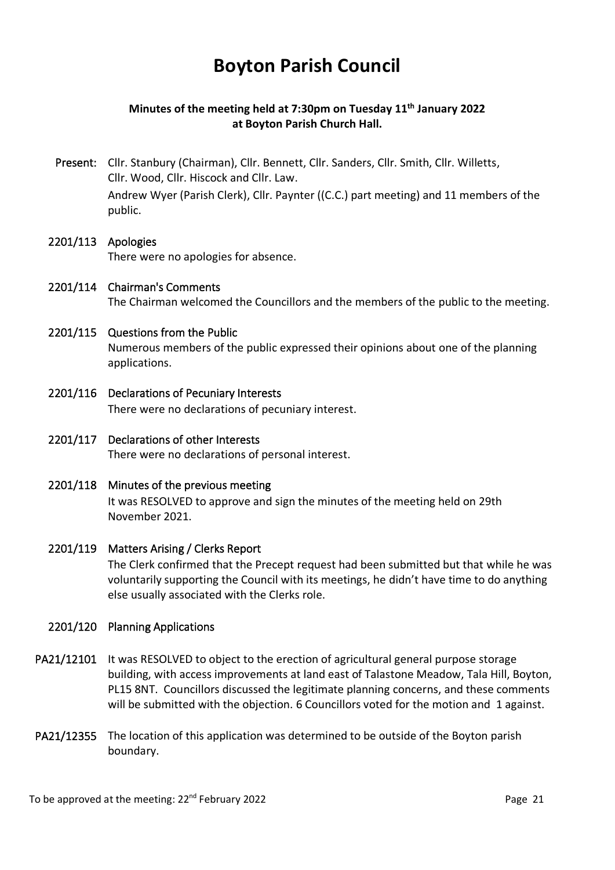# **Boyton Parish Council**

# **Minutes of the meeting held at 7:30pm on Tuesday 11th January 2022 at Boyton Parish Church Hall.**

Present: Cllr. Stanbury (Chairman), Cllr. Bennett, Cllr. Sanders, Cllr. Smith, Cllr. Willetts, Cllr. Wood, Cllr. Hiscock and Cllr. Law. Andrew Wyer (Parish Clerk), Cllr. Paynter ((C.C.) part meeting) and 11 members of the public.

## 2201/113 Apologies There were no apologies for absence.

2201/114 Chairman's Comments The Chairman welcomed the Councillors and the members of the public to the meeting.

# 2201/115 Questions from the Public

 Numerous members of the public expressed their opinions about one of the planning applications.

- 2201/116 Declarations of Pecuniary Interests There were no declarations of pecuniary interest.
- 2201/117 Declarations of other Interests There were no declarations of personal interest.
- 2201/118 Minutes of the previous meeting It was RESOLVED to approve and sign the minutes of the meeting held on 29th November 2021.

### 2201/119 Matters Arising / Clerks Report

 The Clerk confirmed that the Precept request had been submitted but that while he was voluntarily supporting the Council with its meetings, he didn't have time to do anything else usually associated with the Clerks role.

### 2201/120 Planning Applications

- PA21/12101 It was RESOLVED to object to the erection of agricultural general purpose storage building, with access improvements at land east of Talastone Meadow, Tala Hill, Boyton, PL15 8NT. Councillors discussed the legitimate planning concerns, and these comments will be submitted with the objection. 6 Councillors voted for the motion and 1 against.
- PA21/12355 The location of this application was determined to be outside of the Boyton parish boundary.